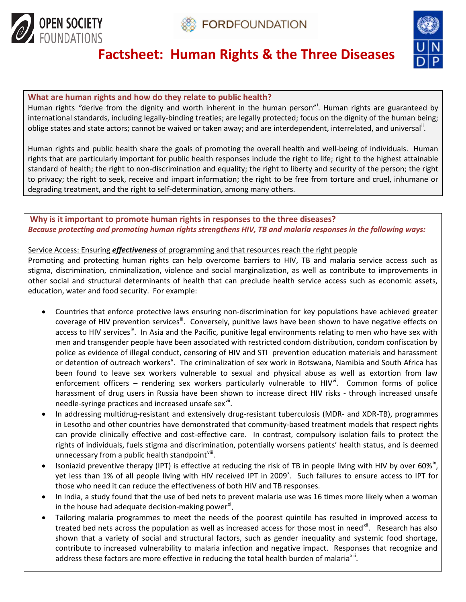



# **Factsheet: Human Rights & the Three Diseases**

#### **What are human rights and how do they relate to public health?**

Human r[i](#page-3-0)ghts "derive from the dignity and worth inherent in the human person"<sup>'</sup>. Human rights are guaranteed by international standards, including legally-binding treaties; are legally protected; focus on the dignity of the human being; oblige states and state actors; cannot be waived or taken away; and are interdependent, interrelated, and universal<sup>[ii](#page-3-1)</sup>.

Human rights and public health share the goals of promoting the overall health and well-being of individuals. Human rights that are particularly important for public health responses include the right to life; right to the highest attainable standard of health; the right to non-discrimination and equality; the right to liberty and security of the person; the right to privacy; the right to seek, receive and impart information; the right to be free from torture and cruel, inhumane or degrading treatment, and the right to self-determination, among many others.

#### **Why is it important to promote human rights in responses to the three diseases?**  *Because protecting and promoting human rights strengthens HIV, TB and malaria responses in the following ways:*

#### Service Access: Ensuring *effectiveness* of programming and that resources reach the right people

Promoting and protecting human rights can help overcome barriers to HIV, TB and malaria service access such as stigma, discrimination, criminalization, violence and social marginalization, as well as contribute to improvements in other social and structural determinants of health that can preclude health service access such as economic assets, education, water and food security. For example:

- Countries that enforce protective laws ensuring non-discrimination for key populations have achieved greater coverage of HIV prevention services<sup>III</sup>. Conversely, punitive laws have been shown to have negative effects on access to HIV services<sup>[iv](#page-3-3)</sup>. In Asia and the Pacific, punitive legal environments relating to men who have sex with men and transgender people have been associated with restricted condom distribution, condom confiscation by police as evidence of illegal conduct, censoring of HIV and STI prevention education materials and harassment or detention of outreach workers<sup>[v](#page-3-4)</sup>. The criminalization of sex work in Botswana, Namibia and South Africa has been found to leave sex workers vulnerable to sexual and physical abuse as well as extortion from law enforcement officers – rendering sex workers particularly vulnerable to HIV<sup>[vi](#page-3-5)</sup>. Common forms of police harassment of drug users in Russia have been shown to increase direct HIV risks - through increased unsafe needle-syringe practices and increased unsafe sex<sup>vii</sup>.
- In addressing multidrug-resistant and extensively drug-resistant tuberculosis (MDR- and XDR-TB), programmes in Lesotho and other countries have demonstrated that community-based treatment models that respect rights can provide clinically effective and cost-effective care. In contrast, compulsory isolation fails to protect the rights of individuals, fuels stigma and discrimination, potentially worsens patients' health status, and is deemed unnecessary from a public health standpoint<sup>[viii](#page-3-7)</sup>.
- Isoniazid preventive therapy (IPT) is effective at reducing the risk of TB in people living with HIV by over 60%<sup>[ix](#page-3-8)</sup>, yet less than 1% of all people living with HIV received IPT in 2009<sup>[x](#page-3-9)</sup>. Such failures to ensure access to IPT for those who need it can reduce the effectiveness of both HIV and TB responses.
- In India, a study found that the use of bed nets to prevent malaria use was 16 times more likely when a woman in the house had adequate decision-making power $x$ <sup>i</sup>.
- Tailoring malaria programmes to meet the needs of the poorest quintile has resulted in improved access to treated bed nets across the population as well as increased access for those most in need<sup>xii</sup>. Research has also shown that a variety of social and structural factors, such as gender inequality and systemic food shortage, contribute to increased vulnerability to malaria infection and negative impact. Responses that recognize and address these factors are more effective in reducing the total health burden of malaria<sup>xiii</sup>.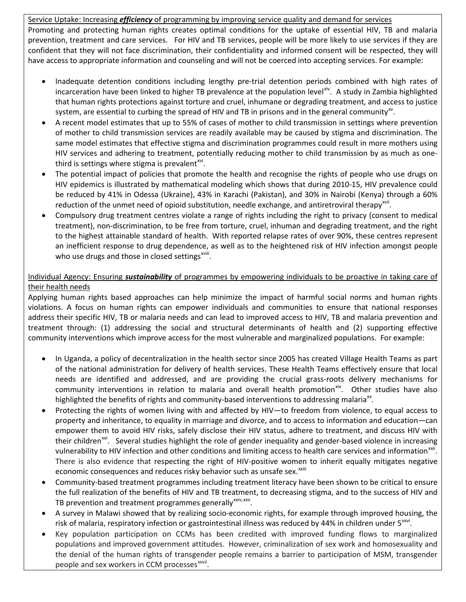#### Service Uptake: Increasing *efficiency* of programming by improving service quality and demand for services

Promoting and protecting human rights creates optimal conditions for the uptake of essential HIV, TB and malaria prevention, treatment and care services. For HIV and TB services, people will be more likely to use services if they are confident that they will not face discrimination, their confidentiality and informed consent will be respected, they will have access to appropriate information and counseling and will not be coerced into accepting services. For example:

- Inadequate detention conditions including lengthy pre-trial detention periods combined with high rates of incarceration have been linked to higher TB prevalence at the population level<sup>xiv</sup>. A study in Zambia highlighted that human rights protections against torture and cruel, inhumane or degrading treatment, and access to justice system, are essential to curbing the spread of HIV and TB in prisons and in the general community<sup>xy</sup>.
- A recent model estimates that up to 55% of cases of mother to child transmission in settings where prevention of mother to child transmission services are readily available may be caused by stigma and discrimination. The same model estimates that effective stigma and discrimination programmes could result in more mothers using HIV services and adhering to treatment, potentially reducing mother to child transmission by as much as onethird is settings where stigma is prevalent $x^{vi}$ .
- The potential impact of policies that promote the health and recognise the rights of people who use drugs on HIV epidemics is illustrated by mathematical modeling which shows that during 2010-15, HIV prevalence could be reduced by 41% in Odessa (Ukraine), 43% in Karachi (Pakistan), and 30% in Nairobi (Kenya) through a 60% reduction of the unmet need of opioid substitution, needle exchange, and antiretroviral therapy<sup>xvii</sup>.
- Compulsory drug treatment centres violate a range of rights including the right to privacy (consent to medical treatment), non-discrimination, to be free from torture, cruel, inhuman and degrading treatment, and the right to the highest attainable standard of health. With reported relapse rates of over 90%, these centres represent an inefficient response to drug dependence, as well as to the heightened risk of HIV infection amongst people who use drugs and those in closed settings<sup>xviii</sup>.

#### Individual Agency: Ensuring *sustainability* of programmes by empowering individuals to be proactive in taking care of their health needs

Applying human rights based approaches can help minimize the impact of harmful social norms and human rights violations. A focus on human rights can empower individuals and communities to ensure that national responses address their specific HIV, TB or malaria needs and can lead to improved access to HIV, TB and malaria prevention and treatment through: (1) addressing the social and structural determinants of health and (2) supporting effective community interventions which improve access for the most vulnerable and marginalized populations. For example:

- In Uganda, a policy of decentralization in the health sector since 2005 has created Village Health Teams as part of the national administration for delivery of health services. These Health Teams effectively ensure that local needs are identified and addressed, and are providing the crucial grass-roots delivery mechanisms for community interventions in relation to malaria and overall health promotion<sup>[xix](#page-3-18)</sup>. Other studies have also highlighted the benefits of rights and community-based interventions to addressing malaria<sup>xx</sup>.
- Protecting the rights of women living with and affected by HIV—to freedom from violence, to equal access to property and inheritance, to equality in marriage and divorce, and to access to information and education—can empower them to avoid HIV risks, safely disclose their HIV status, adhere to treatment, and discuss HIV with their children<sup>[xxi](#page-3-20)</sup>. Several studies highlight the role of gender inequality and gender-based violence in increasing economic consequences and reduces risky behavior such as unsafe sex.<sup>xxiii</sup> vulnerability to HIV infection and other conditions and limiting access to health care services and information<sup>[xxii](#page-3-21)</sup>. There is also evidence that respecting the right of HIV-positive wome[n](#page-3-22) to inherit equally mitigates negative
- Community-based treatment programmes including treatment literacy have been shown to be critical to ensure the full realization of the benefits of HIV and TB treatment, to decreasing stigma, and to the success of HIV and TB prevention and treatment programmes generally<sup>[xxiv,](#page-3-23) xxv</sup>.
- A survey in Malawi showed that by realizing socio-economic rights, for example through improved housing, the risk of malaria, respiratory infection or gastrointestinal illness was reduced by 44% in children under 5<sup>xxvi</sup>.
- Key population participation on CCMs has been credited with improved funding flows to marginalized populations and improved government attitudes. However, criminalization of sex work and homosexuality and the denial of the human rights of transgender people remains a barrier to participation of MSM, transgender people and sex workers in CCM processes<sup>xxvii</sup>.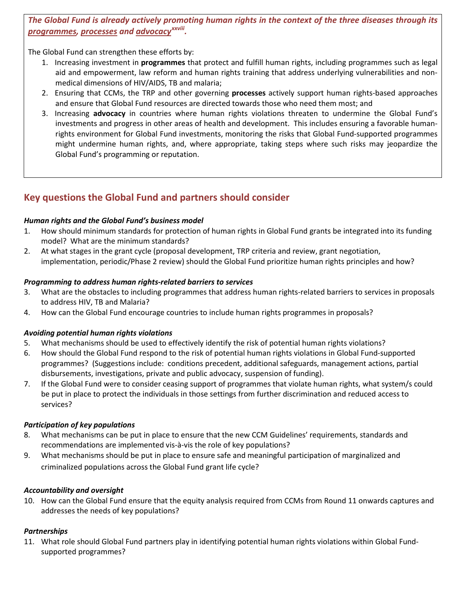### *The Global Fund is already actively promoting human rights in the context of the three diseases through its programmes, processes and advocacyxxviii[.](#page-3-27)*

The Global Fund can strengthen these efforts by:

- 1. Increasing investment in **programmes** that protect and fulfill human rights, including programmes such as legal aid and empowerment, law reform and human rights training that address underlying vulnerabilities and nonmedical dimensions of HIV/AIDS, TB and malaria;
- 2. Ensuring that CCMs, the TRP and other governing **processes** actively support human rights-based approaches and ensure that Global Fund resources are directed towards those who need them most; and
- 3. Increasing **advocacy** in countries where human rights violations threaten to undermine the Global Fund's investments and progress in other areas of health and development. This includes ensuring a favorable humanrights environment for Global Fund investments, monitoring the risks that Global Fund-supported programmes might undermine human rights, and, where appropriate, taking steps where such risks may jeopardize the Global Fund's programming or reputation.

# **Key questions the Global Fund and partners should consider**

#### *Human rights and the Global Fund's business model*

- 1. How should minimum standards for protection of human rights in Global Fund grants be integrated into its funding model? What are the minimum standards?
- 2. At what stages in the grant cycle (proposal development, TRP criteria and review, grant negotiation, implementation, periodic/Phase 2 review) should the Global Fund prioritize human rights principles and how?

#### *Programming to address human rights-related barriers to services*

- 3. What are the obstacles to including programmes that address human rights-related barriers to services in proposals to address HIV, TB and Malaria?
- 4. How can the Global Fund encourage countries to include human rights programmes in proposals?

#### *Avoiding potential human rights violations*

- 5. What mechanisms should be used to effectively identify the risk of potential human rights violations?
- 6. How should the Global Fund respond to the risk of potential human rights violations in Global Fund-supported programmes? (Suggestions include: conditions precedent, additional safeguards, management actions, partial disbursements, investigations, private and public advocacy, suspension of funding).
- 7. If the Global Fund were to consider ceasing support of programmes that violate human rights, what system/s could be put in place to protect the individuals in those settings from further discrimination and reduced access to services?

#### *Participation of key populations*

- 8. What mechanisms can be put in place to ensure that the new CCM Guidelines' requirements, standards and recommendations are implemented vis-à-vis the role of key populations?
- 9. What mechanisms should be put in place to ensure safe and meaningful participation of marginalized and criminalized populations across the Global Fund grant life cycle?

#### *Accountability and oversight*

10. How can the Global Fund ensure that the equity analysis required from CCMs from Round 11 onwards captures and addresses the needs of key populations?

#### *Partnerships*

11. What role should Global Fund partners play in identifying potential human rights violations within Global Fundsupported programmes?